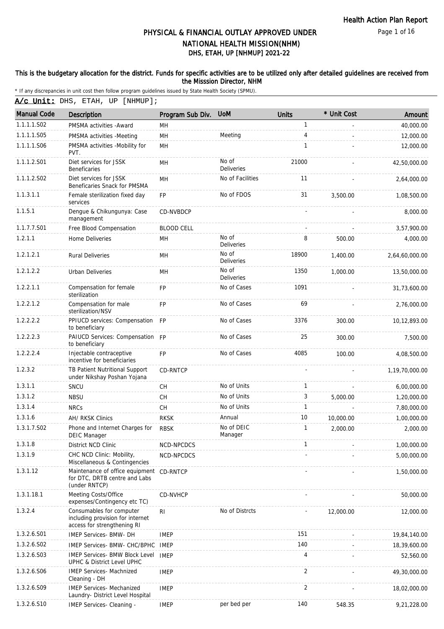Page 1 of 16

# DHS, ETAH, UP [NHMUP] 2021-22 PHYSICAL & FINANCIAL OUTLAY APPROVED UNDER NATIONAL HEALTH MISSION(NHM)

### This is the budgetary allocation for the district. Funds for specific activities are to be utilized only after detailed guidelines are received from the Misssion Director, NHM

|  |  |  |  |  | A/c Unit: DHS, ETAH, UP [NHMUP]; |
|--|--|--|--|--|----------------------------------|
|--|--|--|--|--|----------------------------------|

| <b>Manual Code</b> | Description                                                                                 | Program Sub Div.  | <b>UoM</b>                 | <b>Units</b>   | * Unit Cost | Amount         |
|--------------------|---------------------------------------------------------------------------------------------|-------------------|----------------------------|----------------|-------------|----------------|
| 1.1.1.1.S02        | PMSMA activities - Award                                                                    | MН                |                            | 1              |             | 40,000.00      |
| 1.1.1.1.S05        | PMSMA activities -Meeting                                                                   | MH                | Meeting                    | 4              |             | 12,000.00      |
| 1.1.1.1.S06        | PMSMA activities -Mobility for<br>PVT.                                                      | MH                |                            | $\mathbf{1}$   |             | 12,000.00      |
| 1.1.1.2.S01        | Diet services for JSSK<br><b>Beneficaries</b>                                               | MH                | No of<br><b>Deliveries</b> | 21000          |             | 42,50,000.00   |
| 1.1.1.2.S02        | Diet services for JSSK<br>Beneficaries Snack for PMSMA                                      | MH                | No of Facilities           | 11             |             | 2,64,000.00    |
| 1.1.3.1.1          | Female sterilization fixed day<br>services                                                  | <b>FP</b>         | No of FDOS                 | 31             | 3,500.00    | 1,08,500.00    |
| 1.1.5.1            | Dengue & Chikungunya: Case<br>management                                                    | CD-NVBDCP         |                            |                |             | 8,000.00       |
| 1.1.7.7.S01        | Free Blood Compensation                                                                     | <b>BLOOD CELL</b> |                            |                |             | 3,57,900.00    |
| 1.2.1.1            | Home Deliveries                                                                             | MН                | No of<br><b>Deliveries</b> | 8              | 500.00      | 4,000.00       |
| 1.2.1.2.1          | <b>Rural Deliveries</b>                                                                     | MН                | No of<br>Deliveries        | 18900          | 1,400.00    | 2,64,60,000.00 |
| 1.2.1.2.2          | <b>Urban Deliveries</b>                                                                     | <b>MH</b>         | No of<br>Deliveries        | 1350           | 1,000.00    | 13,50,000.00   |
| 1.2.2.1.1          | Compensation for female<br>sterilization                                                    | <b>FP</b>         | No of Cases                | 1091           |             | 31,73,600.00   |
| 1.2.2.1.2          | Compensation for male<br>sterilization/NSV                                                  | FP                | No of Cases                | 69             |             | 2,76,000.00    |
| 1.2.2.2.2          | PPIUCD services: Compensation FP<br>to beneficiary                                          |                   | No of Cases                | 3376           | 300.00      | 10,12,893.00   |
| 1.2.2.2.3          | PAIUCD Services: Compensation FP<br>to beneficiary                                          |                   | No of Cases                | 25             | 300.00      | 7,500.00       |
| 1.2.2.2.4          | Injectable contraceptive<br>incentive for beneficiaries                                     | <b>FP</b>         | No of Cases                | 4085           | 100.00      | 4,08,500.00    |
| 1.2.3.2            | TB Patient Nutritional Support<br>under Nikshay Poshan Yojana                               | <b>CD-RNTCP</b>   |                            |                |             | 1,19,70,000.00 |
| 1.3.1.1            | SNCU                                                                                        | <b>CH</b>         | No of Units                | 1              |             | 6,00,000.00    |
| 1.3.1.2            | <b>NBSU</b>                                                                                 | <b>CH</b>         | No of Units                | 3              | 5,000.00    | 1,20,000.00    |
| 1.3.1.4            | <b>NRCs</b>                                                                                 | <b>CH</b>         | No of Units                | 1              |             | 7,80,000.00    |
| 1.3.1.6            | <b>AH/ RKSK Clinics</b>                                                                     | <b>RKSK</b>       | Annual                     | 10             | 10,000.00   | 1,00,000.00    |
| 1.3.1.7.S02        | Phone and Internet Charges for<br><b>DEIC Manager</b>                                       | <b>RBSK</b>       | No of DEIC<br>Manager      | 1              | 2,000.00    | 2,000.00       |
| 1.3.1.8            | District NCD Clinic                                                                         | NCD-NPCDCS        |                            |                |             | 1,00,000.00    |
| 1.3.1.9            | CHC NCD Clinic: Mobility,<br>Miscellaneous & Contingencies                                  | NCD-NPCDCS        |                            |                |             | 5,00,000.00    |
| 1.3.1.12           | Maintenance of office equipment CD-RNTCP<br>for DTC, DRTB centre and Labs<br>(under RNTCP)  |                   |                            |                |             | 1,50,000.00    |
| 1.3.1.18.1         | Meeting Costs/Office<br>expenses/Contingency etc TC)                                        | <b>CD-NVHCP</b>   |                            |                |             | 50,000.00      |
| 1.3.2.4            | Consumables for computer<br>including provision for internet<br>access for strengthening RI | RI                | No of Distrcts             |                | 12,000.00   | 12,000.00      |
| 1.3.2.6.S01        | <b>IMEP Services- BMW- DH</b>                                                               | <b>IMEP</b>       |                            | 151            |             | 19,84,140.00   |
| 1.3.2.6.S02        | IMEP Services- BMW- CHC/BPHC                                                                | <b>IMEP</b>       |                            | 140            |             | 18,39,600.00   |
| 1.3.2.6.S03        | <b>IMEP Services- BMW Block Level</b><br><b>UPHC &amp; District Level UPHC</b>              | <b>IMEP</b>       |                            | 4              |             | 52,560.00      |
| 1.3.2.6.S06        | <b>IMEP Services- Machnized</b><br>Cleaning - DH                                            | <b>IMEP</b>       |                            | 2              |             | 49,30,000.00   |
| 1.3.2.6.S09        | <b>IMEP Services- Mechanized</b><br>Laundry- District Level Hospital                        | <b>IMEP</b>       |                            | $\overline{2}$ |             | 18,02,000.00   |
| 1.3.2.6.S10        | IMEP Services- Cleaning -                                                                   | <b>IMEP</b>       | per bed per                | 140            | 548.35      | 9,21,228.00    |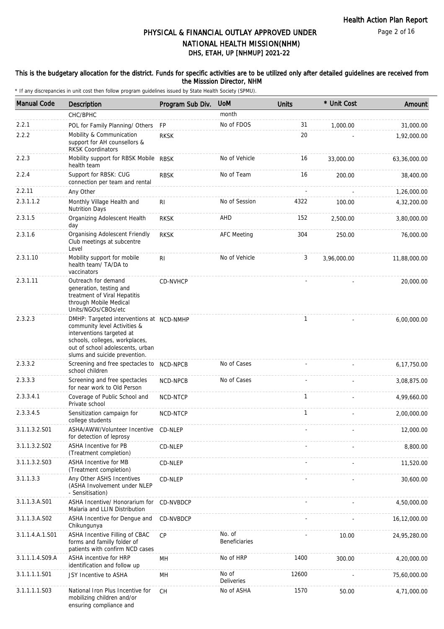### This is the budgetary allocation for the district. Funds for specific activities are to be utilized only after detailed guidelines are received from the Misssion Director, NHM

| <b>Manual Code</b> | <b>Description</b>                                                                                                                                                                                           | Program Sub Div. | <b>UoM</b>                 | <b>Units</b> | * Unit Cost | Amount       |
|--------------------|--------------------------------------------------------------------------------------------------------------------------------------------------------------------------------------------------------------|------------------|----------------------------|--------------|-------------|--------------|
|                    | CHC/BPHC                                                                                                                                                                                                     |                  | month                      |              |             |              |
| 2.2.1              | POL for Family Planning/ Others                                                                                                                                                                              | <b>FP</b>        | No of FDOS                 | 31           | 1,000.00    | 31,000.00    |
| 2.2.2              | Mobility & Communication<br>support for AH counsellors &<br><b>RKSK Coordinators</b>                                                                                                                         | <b>RKSK</b>      |                            | 20           |             | 1,92,000.00  |
| 2.2.3              | Mobility support for RBSK Mobile RBSK<br>health team                                                                                                                                                         |                  | No of Vehicle              | 16           | 33,000.00   | 63,36,000.00 |
| 2.2.4              | Support for RBSK: CUG<br>connection per team and rental                                                                                                                                                      | <b>RBSK</b>      | No of Team                 | 16           | 200.00      | 38,400.00    |
| 2.2.11             | Any Other                                                                                                                                                                                                    |                  |                            |              |             | 1,26,000.00  |
| 2.3.1.1.2          | Monthly Village Health and<br><b>Nutrition Days</b>                                                                                                                                                          | RI               | No of Session              | 4322         | 100.00      | 4,32,200.00  |
| 2.3.1.5            | Organizing Adolescent Health<br>day                                                                                                                                                                          | <b>RKSK</b>      | AHD                        | 152          | 2,500.00    | 3,80,000.00  |
| 2.3.1.6            | Organising Adolescent Friendly<br>Club meetings at subcentre<br>Level                                                                                                                                        | <b>RKSK</b>      | <b>AFC Meeting</b>         | 304          | 250.00      | 76,000.00    |
| 2.3.1.10           | Mobility support for mobile<br>health team/ TA/DA to<br>vaccinators                                                                                                                                          | R <sub>1</sub>   | No of Vehicle              | 3            | 3,96,000.00 | 11,88,000.00 |
| 2.3.1.11           | Outreach for demand<br>generation, testing and<br>treatment of Viral Hepatitis<br>through Mobile Medical<br>Units/NGOs/CBOs/etc                                                                              | CD-NVHCP         |                            |              |             | 20,000.00    |
| 2.3.2.3            | DMHP: Targeted interventions at NCD-NMHP<br>community level Activities &<br>interventions targeted at<br>schools, colleges, workplaces,<br>out of school adolescents, urban<br>slums and suicide prevention. |                  |                            | $\mathbf{1}$ |             | 6,00,000.00  |
| 2.3.3.2            | Screening and free spectacles to NCD-NPCB<br>school children                                                                                                                                                 |                  | No of Cases                |              |             | 6,17,750.00  |
| 2.3.3.3            | Screening and free spectacles<br>for near work to Old Person                                                                                                                                                 | NCD-NPCB         | No of Cases                |              |             | 3,08,875.00  |
| 2.3.3.4.1          | Coverage of Public School and<br>Private school                                                                                                                                                              | NCD-NTCP         |                            | $\mathbf{1}$ |             | 4,99,660.00  |
| 2.3.3.4.5          | Sensitization campaign for<br>college students                                                                                                                                                               | NCD-NTCP         |                            | $\mathbf{1}$ |             | 2,00,000.00  |
| 3.1.1.3.2.S01      | ASHA/AWW/Volunteer Incentive<br>for detection of leprosy                                                                                                                                                     | CD-NLEP          |                            |              |             | 12,000.00    |
| 3.1.1.3.2.S02      | ASHA Incentive for PB<br>(Treatment completion)                                                                                                                                                              | CD-NLEP          |                            |              |             | 8,800.00     |
| 3.1.1.3.2.S03      | ASHA Incentive for MB<br>(Treatment completion)                                                                                                                                                              | CD-NLEP          |                            |              |             | 11,520.00    |
| 3.1.1.3.3          | Any Other ASHS Incentives<br>(ASHA Involvement under NLEP<br>- Sensitisation)                                                                                                                                | CD-NLEP          |                            |              |             | 30,600.00    |
| 3.1.1.3.A.S01      | ASHA Incentive/ Honorarium for<br>Malaria and LLIN Distribution                                                                                                                                              | CD-NVBDCP        |                            |              |             | 4,50,000.00  |
| 3.1.1.3.A.S02      | ASHA Incentive for Dengue and<br>Chikungunya                                                                                                                                                                 | CD-NVBDCP        |                            |              |             | 16,12,000.00 |
| 3.1.1.4.A.1.S01    | ASHA Incentive Filling of CBAC<br>forms and familly folder of<br>patients with confirm NCD cases                                                                                                             | <b>CP</b>        | No. of<br>Beneficiaries    |              | 10.00       | 24,95,280.00 |
| 3.1.1.1.4.S09.A    | ASHA incentive for HRP<br>identification and follow up                                                                                                                                                       | MH               | No of HRP                  | 1400         | 300.00      | 4,20,000.00  |
| 3.1.1.1.1.S01      | JSY Incentive to ASHA                                                                                                                                                                                        | MH               | No of<br><b>Deliveries</b> | 12600        |             | 75,60,000.00 |
| 3.1.1.1.1.S03      | National Iron Plus Incentive for<br>mobilizing children and/or<br>ensuring compliance and                                                                                                                    | <b>CH</b>        | No of ASHA                 | 1570         | 50.00       | 4,71,000.00  |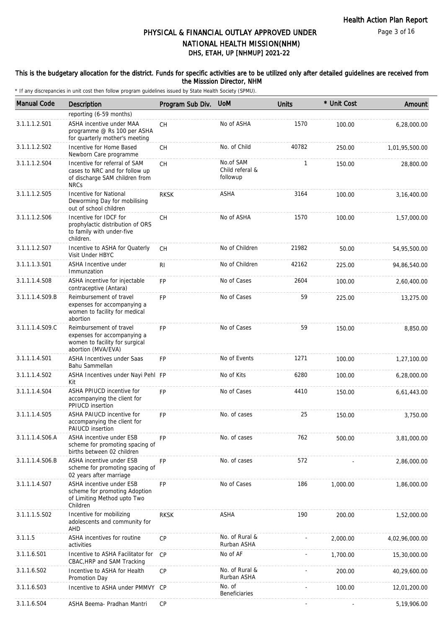#### This is the budgetary allocation for the district. Funds for specific activities are to be utilized only after detailed guidelines are received from the Misssion Director, NHM

| <b>Manual Code</b> | Description                                                                                                      | Program Sub Div. | <b>UoM</b>                               | <b>Units</b> | * Unit Cost | Amount         |
|--------------------|------------------------------------------------------------------------------------------------------------------|------------------|------------------------------------------|--------------|-------------|----------------|
|                    | reporting (6-59 months)                                                                                          |                  |                                          |              |             |                |
| 3.1.1.1.2.S01      | ASHA incentive under MAA<br>programme @ Rs 100 per ASHA<br>for quarterly mother's meeting                        | CH               | No of ASHA                               | 1570         | 100.00      | 6,28,000.00    |
| 3.1.1.1.2.S02      | Incentive for Home Based<br>Newborn Care programme                                                               | CH               | No. of Child                             | 40782        | 250.00      | 1,01,95,500.00 |
| 3.1.1.1.2.S04      | Incentive for referral of SAM<br>cases to NRC and for follow up<br>of discharge SAM children from<br><b>NRCs</b> | СH               | No.of SAM<br>Child referal &<br>followup | $\mathbf{1}$ | 150.00      | 28,800.00      |
| 3.1.1.1.2.S05      | Incentive for National<br>Deworming Day for mobilising<br>out of school children                                 | <b>RKSK</b>      | ASHA                                     | 3164         | 100.00      | 3, 16, 400.00  |
| 3.1.1.1.2.S06      | Incentive for IDCF for<br>prophylactic distribution of ORS<br>to family with under-five<br>children.             | СH               | No of ASHA                               | 1570         | 100.00      | 1,57,000.00    |
| 3.1.1.1.2.S07      | Incentive to ASHA for Quaterly<br>Visit Under HBYC                                                               | <b>CH</b>        | No of Children                           | 21982        | 50.00       | 54,95,500.00   |
| 3.1.1.1.3.S01      | ASHA Incentive under<br>Immunzation                                                                              | <b>RI</b>        | No of Children                           | 42162        | 225.00      | 94,86,540.00   |
| 3.1.1.1.4.S08      | ASHA incentive for injectable<br>contraceptive (Antara)                                                          | <b>FP</b>        | No of Cases                              | 2604         | 100.00      | 2,60,400.00    |
| 3.1.1.1.4.S09.B    | Reimbursement of travel<br>expenses for accompanying a<br>women to facility for medical<br>abortion              | <b>FP</b>        | No of Cases                              | 59           | 225.00      | 13,275.00      |
| 3.1.1.1.4.S09.C    | Reimbursement of travel<br>expenses for accompanying a<br>women to facility for surgical<br>abortion (MVA/EVA)   | <b>FP</b>        | No of Cases                              | 59           | 150.00      | 8,850.00       |
| 3.1.1.1.4.S01      | <b>ASHA Incentives under Saas</b><br>Bahu Sammellan                                                              | <b>FP</b>        | No of Events                             | 1271         | 100.00      | 1,27,100.00    |
| 3.1.1.1.4.S02      | ASHA Incentives under Nayi Pehl FP<br>Kit                                                                        |                  | No of Kits                               | 6280         | 100.00      | 6,28,000.00    |
| 3.1.1.1.4.S04      | ASHA PPIUCD incentive for<br>accompanying the client for<br>PPIUCD insertion                                     | <b>FP</b>        | No of Cases                              | 4410         | 150.00      | 6,61,443.00    |
| 3.1.1.1.4.S05      | ASHA PAIUCD incentive for<br>accompanying the client for<br>PAIUCD insertion                                     | <b>FP</b>        | No. of cases                             | 25           | 150.00      | 3,750.00       |
| 3.1.1.1.4.S06.A    | ASHA incentive under ESB<br>scheme for promoting spacing of<br>births between 02 children                        | <b>FP</b>        | No. of cases                             | 762          | 500.00      | 3,81,000.00    |
| 3.1.1.1.4.S06.B    | ASHA incentive under ESB<br>scheme for promoting spacing of<br>02 years after marriage                           | <b>FP</b>        | No. of cases                             | 572          |             | 2,86,000.00    |
| 3.1.1.1.4.S07      | ASHA incentive under ESB<br>scheme for promoting Adoption<br>of Limiting Method upto Two<br>Children             | FP               | No of Cases                              | 186          | 1,000.00    | 1,86,000.00    |
| 3.1.1.1.5.S02      | Incentive for mobilizing<br>adolescents and community for<br>AHD                                                 | <b>RKSK</b>      | ASHA                                     | 190          | 200.00      | 1,52,000.00    |
| 3.1.1.5            | ASHA incentives for routine<br>activities                                                                        | CP               | No. of Rural &<br>Rurban ASHA            |              | 2,000.00    | 4,02,96,000.00 |
| 3.1.1.6.S01        | Incentive to ASHA Facilitator for<br>CBAC, HRP and SAM Tracking                                                  | <b>CP</b>        | No of AF                                 |              | 1,700.00    | 15,30,000.00   |
| 3.1.1.6.S02        | Incentive to ASHA for Health<br>Promotion Day                                                                    | CP               | No. of Rural &<br>Rurban ASHA            |              | 200.00      | 40,29,600.00   |
| 3.1.1.6.S03        | Incentive to ASHA under PMMVY CP                                                                                 |                  | No. of<br><b>Beneficiaries</b>           |              | 100.00      | 12,01,200.00   |
| 3.1.1.6.S04        | ASHA Beema- Pradhan Mantri                                                                                       | CP               |                                          |              |             | 5,19,906.00    |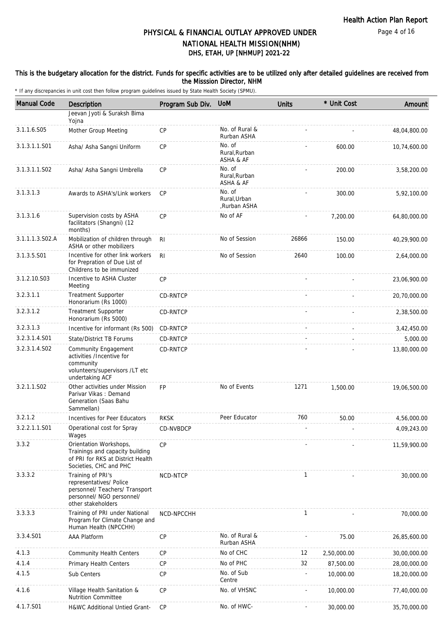### This is the budgetary allocation for the district. Funds for specific activities are to be utilized only after detailed guidelines are received from the Misssion Director, NHM

| <b>Manual Code</b> | <b>Description</b>                                                                                                                | Program Sub Div. | <b>UoM</b>                             | <b>Units</b> | * Unit Cost | Amount       |
|--------------------|-----------------------------------------------------------------------------------------------------------------------------------|------------------|----------------------------------------|--------------|-------------|--------------|
|                    | Jeevan Jyoti & Suraksh Bima<br>Yojna                                                                                              |                  |                                        |              |             |              |
| 3.1.1.6.S05        | Mother Group Meeting                                                                                                              | <b>CP</b>        | No. of Rural &<br>Rurban ASHA          |              |             | 48,04,800.00 |
| 3.1.3.1.1.S01      | Asha/ Asha Sangni Uniform                                                                                                         | <b>CP</b>        | No. of<br>Rural, Rurban<br>ASHA & AF   |              | 600.00      | 10,74,600.00 |
| 3.1.3.1.1.S02      | Asha/ Asha Sangni Umbrella                                                                                                        | CP               | No. of<br>Rural, Rurban<br>ASHA & AF   |              | 200.00      | 3,58,200.00  |
| 3.1.3.1.3          | Awards to ASHA's/Link workers                                                                                                     | <b>CP</b>        | No. of<br>Rural, Urban<br>Rurban ASHA, |              | 300.00      | 5,92,100.00  |
| 3.1.3.1.6          | Supervision costs by ASHA<br>facilitators (Shangni) (12<br>months)                                                                | <b>CP</b>        | No of AF                               |              | 7,200.00    | 64,80,000.00 |
| 3.1.1.1.3.S02.A    | Mobilization of children through<br>ASHA or other mobilizers                                                                      | RI.              | No of Session                          | 26866        | 150.00      | 40,29,900.00 |
| 3.1.3.5.S01        | Incentive for other link workers<br>for Prepration of Due List of<br>Childrens to be immunized                                    | RI.              | No of Session                          | 2640         | 100.00      | 2,64,000.00  |
| 3.1.2.10.S03       | Incentive to ASHA Cluster<br>Meeting                                                                                              | <b>CP</b>        |                                        |              |             | 23,06,900.00 |
| 3.2.3.1.1          | Treatment Supporter<br>Honorarium (Rs 1000)                                                                                       | CD-RNTCP         |                                        |              |             | 20,70,000.00 |
| 3.2.3.1.2          | <b>Treatment Supporter</b><br>Honorarium (Rs 5000)                                                                                | CD-RNTCP         |                                        |              |             | 2,38,500.00  |
| 3.2.3.1.3          | Incentive for informant (Rs 500)                                                                                                  | CD-RNTCP         |                                        |              |             | 3,42,450.00  |
| 3.2.3.1.4.S01      | State/District TB Forums                                                                                                          | CD-RNTCP         |                                        |              |             | 5,000.00     |
| 3.2.3.1.4.S02      | <b>Community Engagement</b><br>activities /Incentive for<br>community<br>volunteers/supervisors /LT etc<br>undertaking ACF        | CD-RNTCP         |                                        |              |             | 13,80,000.00 |
| 3.2.1.1.S02        | Other activities under Mission<br>Parivar Vikas: Demand<br>Generation (Saas Bahu<br>Sammellan)                                    | <b>FP</b>        | No of Events                           | 1271         | 1,500.00    | 19,06,500.00 |
| 3.2.1.2            | Incentives for Peer Educators                                                                                                     | <b>RKSK</b>      | Peer Educator                          | 760          | 50.00       | 4,56,000.00  |
| 3.2.2.1.1.S01      | Operational cost for Spray<br>Wages                                                                                               | CD-NVBDCP        |                                        |              |             | 4,09,243.00  |
| 3.3.2              | Orientation Workshops,<br>Trainings and capacity building<br>of PRI for RKS at District Health<br>Societies, CHC and PHC          | CP               |                                        |              |             | 11,59,900.00 |
| 3.3.3.2            | Training of PRI's<br>representatives/ Police<br>personnel/ Teachers/ Transport<br>personnel/ NGO personnel/<br>other stakeholders | NCD-NTCP         |                                        | $\mathbf{1}$ |             | 30,000.00    |
| 3.3.3.3            | Training of PRI under National<br>Program for Climate Change and<br>Human Health (NPCCHH)                                         | NCD-NPCCHH       |                                        | 1            |             | 70,000.00    |
| 3.3.4.S01          | AAA Platform                                                                                                                      | CP               | No. of Rural &<br>Rurban ASHA          |              | 75.00       | 26,85,600.00 |
| 4.1.3              | <b>Community Health Centers</b>                                                                                                   | <b>CP</b>        | No of CHC                              | 12           | 2,50,000.00 | 30,00,000.00 |
| 4.1.4              | Primary Health Centers                                                                                                            | <b>CP</b>        | No of PHC                              | 32           | 87,500.00   | 28,00,000.00 |
| 4.1.5              | Sub Centers                                                                                                                       | <b>CP</b>        | No. of Sub<br>Centre                   |              | 10,000.00   | 18,20,000.00 |
| 4.1.6              | Village Health Sanitation &<br><b>Nutrition Committee</b>                                                                         | CP               | No. of VHSNC                           |              | 10,000.00   | 77,40,000.00 |
| 4.1.7.S01          | H&WC Additional Untied Grant-                                                                                                     | CP               | No. of HWC-                            |              | 30,000.00   | 35,70,000.00 |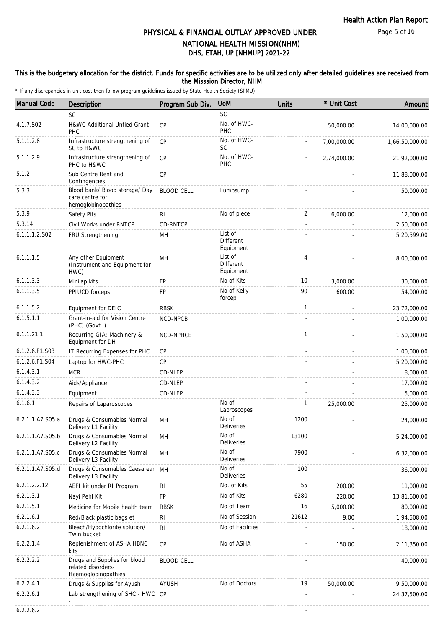### This is the budgetary allocation for the district. Funds for specific activities are to be utilized only after detailed guidelines are received from the Misssion Director, NHM

| <b>Manual Code</b> | <b>Description</b>                                                        | Program Sub Div.  | <b>UoM</b>                               | <b>Units</b>   | * Unit Cost | Amount         |
|--------------------|---------------------------------------------------------------------------|-------------------|------------------------------------------|----------------|-------------|----------------|
|                    | <b>SC</b>                                                                 |                   | <b>SC</b>                                |                |             |                |
| 4.1.7.S02          | H&WC Additional Untied Grant-<br>PHC                                      | <b>CP</b>         | No. of HWC-<br>PHC                       |                | 50,000.00   | 14,00,000.00   |
| 5.1.1.2.8          | Infrastructure strengthening of<br>SC to H&WC                             | <b>CP</b>         | No. of HWC-<br><b>SC</b>                 |                | 7,00,000.00 | 1,66,50,000.00 |
| 5.1.1.2.9          | Infrastructure strengthening of<br>PHC to H&WC                            | CP                | No. of HWC-<br>PHC                       |                | 2,74,000.00 | 21,92,000.00   |
| 5.1.2              | Sub Centre Rent and<br>Contingencies                                      | CP                |                                          |                |             | 11,88,000.00   |
| 5.3.3              | Blood bank/ Blood storage/ Day<br>care centre for<br>hemoglobinopathies   | <b>BLOOD CELL</b> | Lumpsump                                 |                |             | 50,000.00      |
| 5.3.9              | Safety Pits                                                               | RI                | No of piece                              | 2              | 6,000.00    | 12,000.00      |
| 5.3.14             | Civil Works under RNTCP                                                   | CD-RNTCP          |                                          |                |             | 2,50,000.00    |
| 6.1.1.1.2.S02      | FRU Strengthening                                                         | MH                | List of<br><b>Different</b><br>Equipment |                |             | 5,20,599.00    |
| 6.1.1.1.5          | Any other Equipment<br>(Instrument and Equipment for<br>HWC)              | <b>MH</b>         | List of<br>Different<br>Equipment        | $\overline{4}$ |             | 8,00,000.00    |
| 6.1.1.3.3          | Minilap kits                                                              | <b>FP</b>         | No of Kits                               | 10             | 3,000.00    | 30,000.00      |
| 6.1.1.3.5          | PPIUCD forceps                                                            | FP                | No of Kelly<br>forcep                    | 90             | 600.00      | 54,000.00      |
| 6.1.1.5.2          | Equipment for DEIC                                                        | <b>RBSK</b>       |                                          | $\mathbf{1}$   |             | 23,72,000.00   |
| 6.1.5.1.1          | Grant-in-aid for Vision Centre<br>(PHC) (Govt.)                           | NCD-NPCB          |                                          |                |             | 1,00,000.00    |
| 6.1.1.21.1         | Recurring GIA: Machinery &<br>Equipment for DH                            | NCD-NPHCE         |                                          | $\mathbf{1}$   |             | 1,50,000.00    |
| 6.1.2.6.F1.S03     | IT Recurring Expenses for PHC                                             | CP                |                                          |                |             | 1,00,000.00    |
| 6.1.2.6.F1.S04     | Laptop for HWC-PHC                                                        | <b>CP</b>         |                                          |                |             | 5,20,000.00    |
| 6.1.4.3.1          | <b>MCR</b>                                                                | CD-NLEP           |                                          |                |             | 8,000.00       |
| 6.1.4.3.2          | Aids/Appliance                                                            | CD-NLEP           |                                          |                |             | 17,000.00      |
| 6.1.4.3.3          | Equipment                                                                 | CD-NLEP           |                                          |                |             | 5,000.00       |
| 6.1.6.1            | Repairs of Laparoscopes                                                   |                   | No of<br>Laproscopes                     | 1              | 25,000.00   | 25,000.00      |
| 6.2.1.1.A7.S05.a   | Drugs & Consumables Normal<br>Delivery L1 Facility                        | MH                | No of<br>Deliveries                      | 1200           |             | 24,000.00      |
| 6.2.1.1.A7.S05.b   | Drugs & Consumables Normal<br>Delivery L2 Facility                        | MH                | No of<br>Deliveries                      | 13100          |             | 5,24,000.00    |
| 6.2.1.1.A7.S05.c   | Drugs & Consumables Normal<br>Delivery L3 Facility                        | MН                | No of<br><b>Deliveries</b>               | 7900           |             | 6,32,000.00    |
| 6.2.1.1.A7.S05.d   | Drugs & Consumables Caesarean MH<br>Delivery L3 Facility                  |                   | No of<br><b>Deliveries</b>               | 100            |             | 36,000.00      |
| 6.2.1.2.2.12       | AEFI kit under RI Program                                                 | R <sub>l</sub>    | No. of Kits                              | 55             | 200.00      | 11,000.00      |
| 6.2.1.3.1          | Nayi Pehl Kit                                                             | FP                | No of Kits                               | 6280           | 220.00      | 13,81,600.00   |
| 6.2.1.5.1          | Medicine for Mobile health team                                           | <b>RBSK</b>       | No of Team                               | 16             | 5,000.00    | 80,000.00      |
| 6.2.1.6.1          | Red/Black plastic bags et                                                 | R <sub>l</sub>    | No of Session                            | 21612          | 9.00        | 1,94,508.00    |
| 6.2.1.6.2          | Bleach/Hypochlorite solution/<br>Twin bucket                              | R <sub>l</sub>    | No of Facilities                         |                |             | 18,000.00      |
| 6.2.2.1.4          | Replenishment of ASHA HBNC<br>kits                                        | CP                | No of ASHA                               |                | 150.00      | 2,11,350.00    |
| 6.2.2.2.2          | Drugs and Supplies for blood<br>related disorders-<br>Haemoglobinopathies | <b>BLOOD CELL</b> |                                          |                |             | 40,000.00      |
| 6.2.2.4.1          | Drugs & Supplies for Ayush                                                | AYUSH             | No of Doctors                            | 19             | 50,000.00   | 9,50,000.00    |
| 6.2.2.6.1          | Lab strengthening of SHC - HWC CP                                         |                   |                                          |                |             | 24,37,500.00   |
| 6.2.2.6.2          |                                                                           |                   |                                          |                |             |                |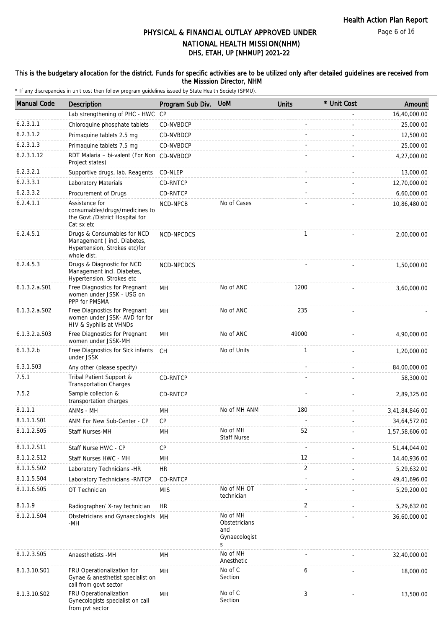### This is the budgetary allocation for the district. Funds for specific activities are to be utilized only after detailed guidelines are received from the Misssion Director, NHM

| <b>Manual Code</b> | Description                                                                                                | Program Sub Div. | <b>UoM</b>                                             | <b>Units</b> | * Unit Cost | Amount         |
|--------------------|------------------------------------------------------------------------------------------------------------|------------------|--------------------------------------------------------|--------------|-------------|----------------|
|                    | Lab strengthening of PHC - HWC                                                                             | CP               |                                                        |              |             | 16,40,000.00   |
| 6.2.3.1.1          | Chloroquine phosphate tablets                                                                              | CD-NVBDCP        |                                                        |              |             | 25,000.00      |
| 6.2.3.1.2          | Primaguine tablets 2.5 mg                                                                                  | CD-NVBDCP        |                                                        |              |             | 12,500.00      |
| 6.2.3.1.3          | Primaguine tablets 7.5 mg                                                                                  | CD-NVBDCP        |                                                        |              |             | 25,000.00      |
| 6.2.3.1.12         | RDT Malaria - bi-valent (For Non<br>Project states)                                                        | CD-NVBDCP        |                                                        |              |             | 4,27,000.00    |
| 6.2.3.2.1          | Supportive drugs, lab. Reagents                                                                            | CD-NLEP          |                                                        |              |             | 13,000.00      |
| 6.2.3.3.1          | Laboratory Materials                                                                                       | CD-RNTCP         |                                                        |              |             | 12,70,000.00   |
| 6.2.3.3.2          | Procurement of Drugs                                                                                       | CD-RNTCP         |                                                        |              |             | 6,60,000.00    |
| 6.2.4.1.1          | Assistance for<br>consumables/drugs/medicines to<br>the Govt./District Hospital for<br>Cat sx etc          | NCD-NPCB         | No of Cases                                            |              |             | 10,86,480.00   |
| 6.2.4.5.1          | Drugs & Consumables for NCD<br>Management (incl. Diabetes,<br>Hypertension, Strokes etc)for<br>whole dist. | NCD-NPCDCS       |                                                        | $\mathbf{1}$ |             | 2,00,000.00    |
| 6.2.4.5.3          | Drugs & Diagnostic for NCD<br>Management incl. Diabetes,<br>Hypertension, Strokes etc                      | NCD-NPCDCS       |                                                        |              |             | 1,50,000.00    |
| 6.1.3.2.a.S01      | Free Diagnostics for Pregnant<br>women under JSSK - USG on<br>PPP for PMSMA                                | <b>MH</b>        | No of ANC                                              | 1200         |             | 3,60,000.00    |
| 6.1.3.2.a.S02      | Free Diagnostics for Pregnant<br>women under JSSK- AVD for for<br>HIV & Syphilis at VHNDs                  | MH               | No of ANC                                              | 235          |             |                |
| 6.1.3.2.a.S03      | Free Diagnostics for Pregnant<br>women under JSSK-MH                                                       | MH               | No of ANC                                              | 49000        |             | 4,90,000.00    |
| 6.1.3.2.b          | Free Diagnostics for Sick infants<br>under JSSK                                                            | <b>CH</b>        | No of Units                                            | $\mathbf{1}$ |             | 1,20,000.00    |
| 6.3.1.S03          | Any other (please specify)                                                                                 |                  |                                                        |              |             | 84,00,000.00   |
| 7.5.1              | Tribal Patient Support &<br><b>Transportation Charges</b>                                                  | CD-RNTCP         |                                                        |              |             | 58,300.00      |
| 7.5.2              | Sample collecton &<br>transportation charges                                                               | <b>CD-RNTCP</b>  |                                                        |              |             | 2,89,325.00    |
| 8.1.1.1            | ANMs - MH                                                                                                  | MH               | No of MH ANM                                           | 180          |             | 3,41,84,846.00 |
| 8.1.1.1.S01        | ANM For New Sub-Center - CP                                                                                | CP               |                                                        |              |             | 34,64,572.00   |
| 8.1.1.2.S05        | Staff Nurses-MH                                                                                            | MН               | No of MH<br><b>Staff Nurse</b>                         | 52           |             | 1,57,58,606.00 |
| 8.1.1.2.S11        | Staff Nurse HWC - CP                                                                                       | CP               |                                                        |              |             | 51,44,044.00   |
| 8.1.1.2.S12        | Staff Nurses HWC - MH                                                                                      | MН               |                                                        | 12           |             | 14,40,936.00   |
| 8.1.1.5.S02        | Laboratory Technicians -HR                                                                                 | <b>HR</b>        |                                                        | 2            |             | 5,29,632.00    |
| 8.1.1.5.S04        | Laboratory Technicians - RNTCP                                                                             | CD-RNTCP         |                                                        |              |             | 49,41,696.00   |
| 8.1.1.6.S05        | OT Technician                                                                                              | <b>MIS</b>       | No of MH OT<br>technician                              |              |             | 5,29,200.00    |
| 8.1.1.9            | Radiographer/ X-ray technician                                                                             | <b>HR</b>        |                                                        | 2            |             | 5,29,632.00    |
| 8.1.2.1.S04        | Obstetricians and Gynaecologists MH<br>-MH                                                                 |                  | No of MH<br>Obstetricians<br>and<br>Gynaecologist<br>S |              |             | 36,60,000.00   |
| 8.1.2.3.S05        | Anaesthetists -MH                                                                                          | MH               | No of MH<br>Anesthetic                                 |              |             | 32,40,000.00   |
| 8.1.3.10.S01       | FRU Operationalization for<br>Gynae & anesthetist specialist on<br>call from govt sector                   | MН               | No of C<br>Section                                     | 6            |             | 18,000.00      |
| 8.1.3.10.S02       | FRU Operationalization<br>Gynecologists specialist on call<br>from pvt sector                              | MH               | No of C<br>Section                                     | 3            |             | 13,500.00      |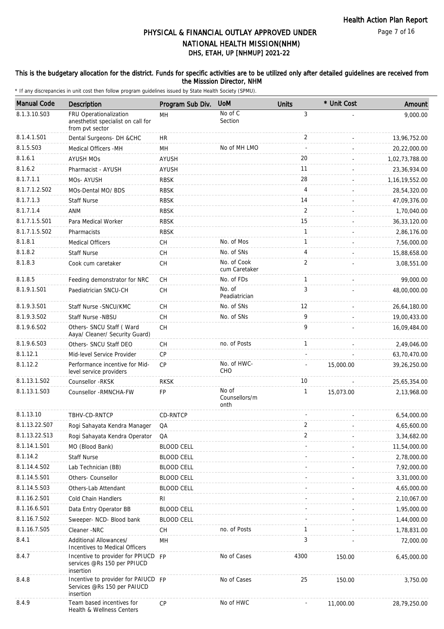### This is the budgetary allocation for the district. Funds for specific activities are to be utilized only after detailed guidelines are received from the Misssion Director, NHM

| <b>Manual Code</b> | Description                                                                     | Program Sub Div.  | <b>UoM</b>                     | <b>Units</b>   | * Unit Cost | Amount            |
|--------------------|---------------------------------------------------------------------------------|-------------------|--------------------------------|----------------|-------------|-------------------|
| 8.1.3.10.S03       | FRU Operationalization<br>anesthetist specialist on call for<br>from pvt sector | MH                | No of C<br>Section             | 3              |             | 9,000.00          |
| 8.1.4.1.S01        | Dental Surgeons- DH &CHC                                                        | HR                |                                | 2              |             | 13,96,752.00      |
| 8.1.5.S03          | Medical Officers -MH                                                            | MН                | No of MH LMO                   | $\overline{a}$ |             | 20,22,000.00      |
| 8.1.6.1            | <b>AYUSH MOs</b>                                                                | AYUSH             |                                | 20             |             | 1,02,73,788.00    |
| 8.1.6.2            | Pharmacist - AYUSH                                                              | <b>AYUSH</b>      |                                | 11             |             | 23,36,934.00      |
| 8.1.7.1.1          | MOs-AYUSH                                                                       | <b>RBSK</b>       |                                | 28             |             | 1, 16, 19, 552.00 |
| 8.1.7.1.2.S02      | MOs-Dental MO/ BDS                                                              | <b>RBSK</b>       |                                | 4              |             | 28,54,320.00      |
| 8.1.7.1.3          | <b>Staff Nurse</b>                                                              | <b>RBSK</b>       |                                | 14             |             | 47,09,376.00      |
| 8.1.7.1.4          | ANM                                                                             | <b>RBSK</b>       |                                | $\overline{2}$ |             | 1,70,040.00       |
| 8.1.7.1.5.S01      | Para Medical Worker                                                             | <b>RBSK</b>       |                                | 15             |             | 36, 33, 120.00    |
| 8.1.7.1.5.S02      | Pharmacists                                                                     | <b>RBSK</b>       |                                | $\mathbf{1}$   |             | 2,86,176.00       |
| 8.1.8.1            | <b>Medical Officers</b>                                                         | CH                | No. of Mos                     | $\mathbf{1}$   |             | 7,56,000.00       |
| 8.1.8.2            | <b>Staff Nurse</b>                                                              | СH                | No. of SNs                     | 4              |             | 15,88,658.00      |
| 8.1.8.3            | Cook cum caretaker                                                              | <b>CH</b>         | No. of Cook<br>cum Caretaker   | $\overline{2}$ |             | 3,08,551.00       |
| 8.1.8.5            | Feeding demonstrator for NRC                                                    | СH                | No. of FDs                     | $\mathbf{1}$   |             | 99,000.00         |
| 8.1.9.1.S01        | Paediatrician SNCU-CH                                                           | <b>CH</b>         | No. of<br>Peadiatrician        | 3              |             | 48,00,000.00      |
| 8.1.9.3.S01        | Staff Nurse - SNCU/KMC                                                          | <b>CH</b>         | No. of SNs                     | 12             |             | 26,64,180.00      |
| 8.1.9.3.SO2        | Staff Nurse -NBSU                                                               | <b>CH</b>         | No. of SNs                     | 9              |             | 19,00,433.00      |
| 8.1.9.6.S02        | Others- SNCU Staff (Ward<br>Aaya/ Cleaner/ Security Guard)                      | CH                |                                | 9              |             | 16,09,484.00      |
| 8.1.9.6.S03        | Others- SNCU Staff DEO                                                          | СH                | no. of Posts                   | $\mathbf{1}$   |             | 2,49,046.00       |
| 8.1.12.1           | Mid-level Service Provider                                                      | <b>CP</b>         |                                | ä,             |             | 63,70,470.00      |
| 8.1.12.2           | Performance incentive for Mid-<br>level service providers                       | CP                | No. of HWC-<br>CHO             |                | 15,000.00   | 39,26,250.00      |
| 8.1.13.1.S02       | Counsellor - RKSK                                                               | <b>RKSK</b>       |                                | 10             |             | 25,65,354.00      |
| 8.1.13.1.S03       | Counsellor - RMNCHA-FW                                                          | FP                | No of<br>Counsellors/m<br>onth | $\mathbf{1}$   | 15,073.00   | 2,13,968.00       |
| 8.1.13.10          | TBHV-CD-RNTCP                                                                   | CD-RNTCP          |                                |                |             | 6,54,000.00       |
| 8.1.13.22.S07      | Rogi Sahayata Kendra Manager                                                    | QA                |                                | 2              |             | 4,65,600.00       |
| 8.1.13.22.S13      | Rogi Sahayata Kendra Operator                                                   | QA                |                                | 2              |             | 3,34,682.00       |
| 8.1.14.1.S01       | MO (Blood Bank)                                                                 | <b>BLOOD CELL</b> |                                |                |             | 11,54,000.00      |
| 8.1.14.2           | <b>Staff Nurse</b>                                                              | <b>BLOOD CELL</b> |                                |                |             | 2,78,000.00       |
| 8.1.14.4.S02       | Lab Technician (BB)                                                             | <b>BLOOD CELL</b> |                                |                |             | 7,92,000.00       |
| 8.1.14.5.S01       | Others- Counsellor                                                              | <b>BLOOD CELL</b> |                                |                |             | 3,31,000.00       |
| 8.1.14.5.S03       | Others-Lab Attendant                                                            | <b>BLOOD CELL</b> |                                |                |             | 4,65,000.00       |
| 8.1.16.2.S01       | Cold Chain Handlers                                                             | RI                |                                |                |             | 2,10,067.00       |
| 8.1.16.6.S01       | Data Entry Operator BB                                                          | <b>BLOOD CELL</b> |                                |                |             | 1,95,000.00       |
| 8.1.16.7.S02       | Sweeper- NCD- Blood bank                                                        | <b>BLOOD CELL</b> |                                |                |             | 1,44,000.00       |
| 8.1.16.7.S05       | Cleaner -NRC                                                                    | СH                | no. of Posts                   | 1              |             | 1,78,831.00       |
| 8.4.1              | Additional Allowances/<br>Incentives to Medical Officers                        | MH                |                                | 3              |             | 72,000.00         |
| 8.4.7              | Incentive to provider for PPIUCD FP<br>services @Rs 150 per PPIUCD<br>insertion |                   | No of Cases                    | 4300           | 150.00      | 6,45,000.00       |
| 8.4.8              | Incentive to provider for PAIUCD FP<br>Services @Rs 150 per PAIUCD<br>insertion |                   | No of Cases                    | 25             | 150.00      | 3,750.00          |
| 8.4.9              | Team based incentives for<br>Health & Wellness Centers                          | CP                | No of HWC                      |                | 11,000.00   | 28,79,250.00      |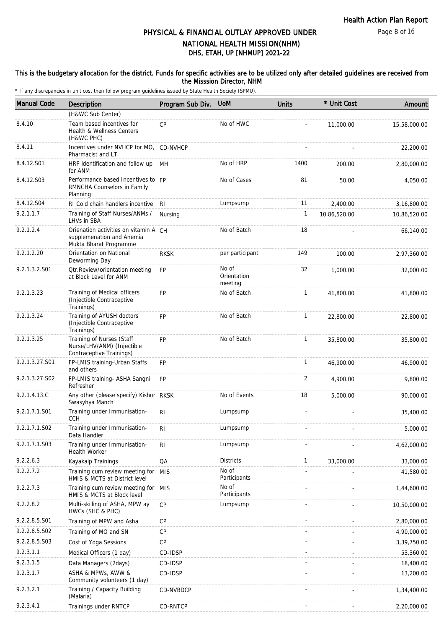#### This is the budgetary allocation for the district. Funds for specific activities are to be utilized only after detailed guidelines are received from the Misssion Director, NHM

| <b>Manual Code</b> | Description                                                                                  | Program Sub Div. | <b>UoM</b>                      | <b>Units</b> | * Unit Cost  | Amount       |
|--------------------|----------------------------------------------------------------------------------------------|------------------|---------------------------------|--------------|--------------|--------------|
|                    | (H&WC Sub Center)                                                                            |                  |                                 |              |              |              |
| 8.4.10             | Team based incentives for<br>Health & Wellness Centers<br>(H&WC PHC)                         | <b>CP</b>        | No of HWC                       |              | 11,000.00    | 15,58,000.00 |
| 8.4.11             | Incentives under NVHCP for MO, CD-NVHCP<br>Pharmacist and LT                                 |                  |                                 |              |              | 22,200.00    |
| 8.4.12.S01         | HRP identification and follow up<br>for ANM                                                  | MН               | No of HRP                       | 1400         | 200.00       | 2,80,000.00  |
| 8.4.12.S03         | Performance based Incentives to FP<br>RMNCHA Counselors in Family<br>Planning                |                  | No of Cases                     | 81           | 50.00        | 4,050.00     |
| 8.4.12.S04         | RI Cold chain handlers incentive                                                             | -RI              | Lumpsump                        | 11           | 2,400.00     | 3,16,800.00  |
| 9.2.1.1.7          | Training of Staff Nurses/ANMs /<br>LHVs in SBA                                               | Nursing          |                                 | 1            | 10,86,520.00 | 10,86,520.00 |
| 9.2.1.2.4          | Orienation activities on vitamin A CH<br>supplemenation and Anemia<br>Mukta Bharat Programme |                  | No of Batch                     | 18           |              | 66,140.00    |
| 9.2.1.2.20         | Orientation on National<br>Deworming Day                                                     | <b>RKSK</b>      | per participant                 | 149          | 100.00       | 2,97,360.00  |
| 9.2.1.3.2.S01      | Otr.Review/orientation meeting<br>at Block Level for ANM                                     | <b>FP</b>        | No of<br>Orientation<br>meeting | 32           | 1,000.00     | 32,000.00    |
| 9.2.1.3.23         | Training of Medical officers<br>(Injectible Contraceptive<br>Trainings)                      | <b>FP</b>        | No of Batch                     | $\mathbf{1}$ | 41,800.00    | 41,800.00    |
| 9.2.1.3.24         | Training of AYUSH doctors<br>(Injectible Contraceptive<br>Trainings)                         | <b>FP</b>        | No of Batch                     | $\mathbf{1}$ | 22,800.00    | 22,800.00    |
| 9.2.1.3.25         | Training of Nurses (Staff<br>Nurse/LHV/ANM) (Injectible<br>Contraceptive Trainings)          | <b>FP</b>        | No of Batch                     | $\mathbf{1}$ | 35,800.00    | 35,800.00    |
| 9.2.1.3.27.S01     | FP-LMIS training-Urban Staffs<br>and others                                                  | <b>FP</b>        |                                 | $\mathbf{1}$ | 46,900.00    | 46,900.00    |
| 9.2.1.3.27.S02     | FP-LMIS training- ASHA Sangni<br>Refresher                                                   | FP               |                                 | 2            | 4,900.00     | 9,800.00     |
| 9.2.1.4.13.C       | Any other (please specify) Kishor RKSK<br>Swasyhya Manch                                     |                  | No of Events                    | 18           | 5,000.00     | 90,000.00    |
| 9.2.1.7.1.S01      | Training under Immunisation-<br><b>CCH</b>                                                   | R <sub>l</sub>   | Lumpsump                        |              |              | 35,400.00    |
| 9.2.1.7.1.S02      | Training under Immunisation-<br>Data Handler                                                 | RI               | Lumpsump                        |              |              | 5,000.00     |
| 9.2.1.7.1.S03      | Training under Immunisation-<br><b>Health Worker</b>                                         | RI.              | Lumpsump                        |              |              | 4,62,000.00  |
| 9.2.2.6.3          | Kayakalp Trainings                                                                           | QA               | <b>Districts</b>                | $\mathbf{1}$ | 33,000.00    | 33,000.00    |
| 9.2.2.7.2          | Training cum review meeting for MIS<br>HMIS & MCTS at District level                         |                  | No of<br>Participants           |              |              | 41,580.00    |
| 9.2.2.7.3          | Training cum review meeting for MIS<br>HMIS & MCTS at Block level                            |                  | No of<br>Participants           |              |              | 1,44,600.00  |
| 9.2.2.8.2          | Multi-skilling of ASHA, MPW ay<br>HWCs (SHC & PHC)                                           | <b>CP</b>        | Lumpsump                        |              |              | 10,50,000.00 |
| 9.2.2.8.5.S01      | Training of MPW and Asha                                                                     | CP               |                                 |              |              | 2,80,000.00  |
| 9.2.2.8.5.S02      | Training of MO and SN                                                                        | CP               |                                 |              |              | 4,90,000.00  |
| 9.2.2.8.5.S03      | Cost of Yoga Sessions                                                                        | <b>CP</b>        |                                 |              |              | 3,39,750.00  |
| 9.2.3.1.1          | Medical Officers (1 day)                                                                     | CD-IDSP          |                                 |              |              | 53,360.00    |
| 9.2.3.1.5          | Data Managers (2days)                                                                        | CD-IDSP          |                                 |              |              | 18,400.00    |
| 9.2.3.1.7          | ASHA & MPWs, AWW &<br>Community volunteers (1 day)                                           | CD-IDSP          |                                 |              |              | 13,200.00    |
| 9.2.3.2.1          | Training / Capacity Building<br>(Malaria)                                                    | CD-NVBDCP        |                                 |              |              | 1,34,400.00  |
| 9.2.3.4.1          | Trainings under RNTCP                                                                        | CD-RNTCP         |                                 |              |              | 2,20,000.00  |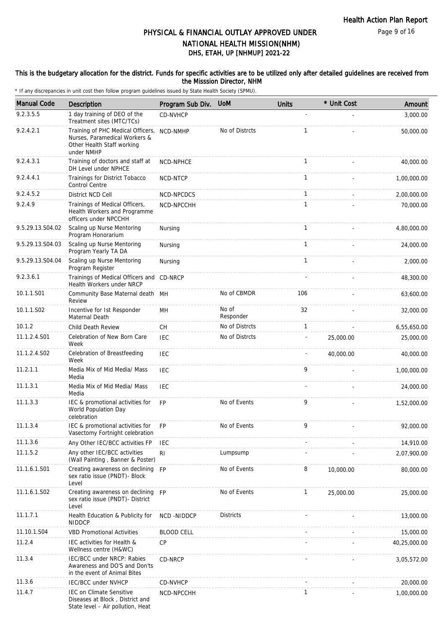#### This is the budgetary allocation for the district. Funds for specific activities are to be utilized only after detailed guidelines are received from the Misssion Director, NHM

| <b>Manual Code</b> | Description                                                                                                    | Program Sub Div.  | <b>UoM</b>         | <b>Units</b> | * Unit Cost | Amount       |
|--------------------|----------------------------------------------------------------------------------------------------------------|-------------------|--------------------|--------------|-------------|--------------|
| 9.2.3.5.5          | 1 day training of DEO of the<br>Treatment sites (MTC/TCs)                                                      | <b>CD-NVHCP</b>   |                    |              |             | 3,000.00     |
| 9.2.4.2.1          | Training of PHC Medical Officers,<br>Nurses, Paramedical Workers &<br>Other Health Staff working<br>under NMHP | NCD-NMHP          | No of Distrcts     | 1            |             | 50,000.00    |
| 9.2.4.3.1          | Training of doctors and staff at<br>DH Level under NPHCE                                                       | NCD-NPHCE         |                    | 1            |             | 40,000.00    |
| 9.2.4.4.1          | Trainings for District Tobacco<br><b>Control Centre</b>                                                        | NCD-NTCP          |                    | $\mathbf{1}$ |             | 1,00,000.00  |
| 9.2.4.5.2          | District NCD Cell                                                                                              | NCD-NPCDCS        |                    | $\mathbf{1}$ |             | 2,00,000.00  |
| 9.2.4.9            | Trainings of Medical Officers,<br>Health Workers and Programme<br>officers under NPCCHH                        | NCD-NPCCHH        |                    | $\mathbf{1}$ |             | 70,000.00    |
| 9.5.29.13.S04.02   | Scaling up Nurse Mentoring<br>Program Honorarium                                                               | Nursing           |                    | 1            |             | 4,80,000.00  |
| 9.5.29.13.S04.03   | Scaling up Nurse Mentoring<br>Program Yearly TA DA                                                             | Nursing           |                    | $\mathbf{1}$ |             | 24,000.00    |
| 9.5.29.13.S04.04   | Scaling up Nurse Mentoring<br>Program Register                                                                 | Nursing           |                    | $\mathbf{1}$ |             | 2,000.00     |
| 9.2.3.6.1          | Trainings of Medical Officers and CD-NRCP<br>Health Workers under NRCP                                         |                   |                    |              |             | 48,300.00    |
| 10.1.1.S01         | Community Base Maternal death MH<br>Review                                                                     |                   | No of CBMDR        | 106          |             | 63,600.00    |
| 10.1.1.S02         | Incentive for 1st Responder<br>Maternal Death                                                                  | MН                | No of<br>Responder | 32           |             | 32,000.00    |
| 10.1.2             | Child Death Review                                                                                             | <b>CH</b>         | No of Distrcts     | $\mathbf{1}$ |             | 6,55,650.00  |
| 11.1.2.4.S01       | Celebration of New Born Care<br>Week                                                                           | <b>IEC</b>        | No of Distrcts     |              | 25,000.00   | 25,000.00    |
| 11.1.2.4.S02       | Celebration of Breastfeeding<br>Week                                                                           | <b>IEC</b>        |                    |              | 40,000.00   | 40,000.00    |
| 11.2.1.1           | Media Mix of Mid Media/ Mass<br>Media                                                                          | IEC               |                    | 9            |             | 1,00,000.00  |
| 11.1.3.1           | Media Mix of Mid Media/ Mass<br>Media                                                                          | IEC               |                    |              |             | 24,000.00    |
| 11.1.3.3           | IEC & promotional activities for<br>World Population Day<br>celebration                                        | <b>FP</b>         | No of Events       | 9            |             | 1,52,000.00  |
| 11.1.3.4           | IEC & promotional activities for<br>Vasectomy Fortnight celebration                                            | <b>FP</b>         | No of Events       | 9            |             | 92,000.00    |
| 11.1.3.6           | Any Other IEC/BCC activities FP                                                                                | IEC               |                    |              |             | 14,910.00    |
| 11.1.5.2           | Any other IEC/BCC activities<br>(Wall Painting, Banner & Poster)                                               | R <sub>1</sub>    | Lumpsump           |              |             | 2,07,900.00  |
| 11.1.6.1.S01       | Creating awareness on declining<br>sex ratio issue (PNDT)- Block<br>Level                                      | <b>FP</b>         | No of Events       | 8            | 10,000.00   | 80,000.00    |
| 11.1.6.1.S02       | Creating awareness on declining<br>sex ratio issue (PNDT)- District<br>Level                                   | <b>FP</b>         | No of Events       | $\mathbf{1}$ | 25,000.00   | 25,000.00    |
| 11.1.7.1           | Health Education & Publicity for<br><b>NIDDCP</b>                                                              | NCD-NIDDCP        | <b>Districts</b>   |              |             | 13,000.00    |
| 11.10.1.S04        | <b>VBD Promotional Activities</b>                                                                              | <b>BLOOD CELL</b> |                    |              |             | 15,000.00    |
| 11.2.4             | IEC activities for Health &<br>Wellness centre (H&WC)                                                          | <b>CP</b>         |                    |              |             | 40,25,000.00 |
| 11.3.4             | IEC/BCC under NRCP: Rabies<br>Awareness and DO'S and Don'ts<br>in the event of Animal Bites                    | CD-NRCP           |                    |              |             | 3,05,572.00  |
| 11.3.6             | <b>IEC/BCC under NVHCP</b>                                                                                     | CD-NVHCP          |                    |              |             | 20,000.00    |
| 11.4.7             | <b>IEC on Climate Sensitive</b><br>Diseases at Block, District and<br>State level - Air pollution, Heat        | NCD-NPCCHH        |                    | 1            |             | 1,00,000.00  |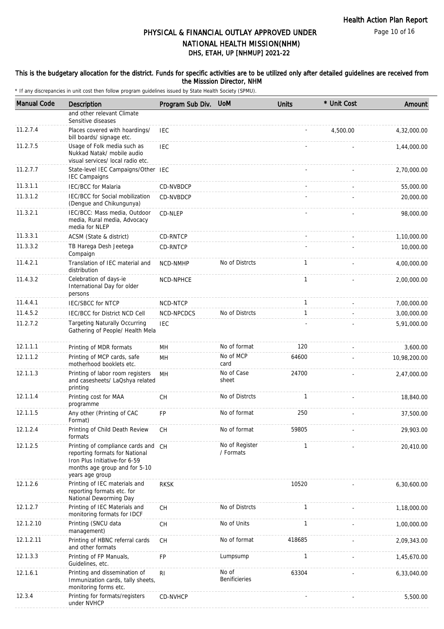#### This is the budgetary allocation for the district. Funds for specific activities are to be utilized only after detailed guidelines are received from the Misssion Director, NHM

| <b>Manual Code</b> | Description                                                                                                                                                | Program Sub Div. UoM |                             | <b>Units</b> | * Unit Cost | Amount       |
|--------------------|------------------------------------------------------------------------------------------------------------------------------------------------------------|----------------------|-----------------------------|--------------|-------------|--------------|
|                    | and other relevant Climate<br>Sensitive diseases                                                                                                           |                      |                             |              |             |              |
| 11.2.7.4           | Places covered with hoardings/<br>bill boards/ signage etc.                                                                                                | <b>IEC</b>           |                             |              | 4,500.00    | 4,32,000.00  |
| 11.2.7.5           | Usage of Folk media such as<br>Nukkad Natak/ mobile audio<br>visual services/ local radio etc.                                                             | <b>IEC</b>           |                             |              |             | 1,44,000.00  |
| 11.2.7.7           | State-level IEC Campaigns/Other IEC<br><b>IEC Campaigns</b>                                                                                                |                      |                             |              |             | 2,70,000.00  |
| 11.3.1.1           | <b>IEC/BCC</b> for Malaria                                                                                                                                 | CD-NVBDCP            |                             |              |             | 55,000.00    |
| 11.3.1.2           | IEC/BCC for Social mobilization<br>(Dengue and Chikungunya)                                                                                                | CD-NVBDCP            |                             |              |             | 20,000.00    |
| 11.3.2.1           | IEC/BCC: Mass media, Outdoor<br>media, Rural media, Advocacy<br>media for NLEP                                                                             | CD-NLEP              |                             |              |             | 98,000.00    |
| 11.3.3.1           | ACSM (State & district)                                                                                                                                    | CD-RNTCP             |                             |              |             | 1,10,000.00  |
| 11.3.3.2           | TB Harega Desh Jeetega<br>Compaign                                                                                                                         | CD-RNTCP             |                             |              |             | 10,000.00    |
| 11.4.2.1           | Translation of IEC material and<br>distribution                                                                                                            | NCD-NMHP             | No of Distrcts              | $\mathbf{1}$ |             | 4,00,000.00  |
| 11.4.3.2           | Celebration of days-ie<br>International Day for older<br>persons                                                                                           | NCD-NPHCE            |                             | $\mathbf{1}$ |             | 2,00,000.00  |
| 11.4.4.1           | <b>IEC/SBCC for NTCP</b>                                                                                                                                   | NCD-NTCP             |                             | $\mathbf{1}$ |             | 7,00,000.00  |
| 11.4.5.2           | IEC/BCC for District NCD Cell                                                                                                                              | NCD-NPCDCS           | No of Distrcts              | $\mathbf{1}$ |             | 3,00,000.00  |
| 11.2.7.2           | <b>Targeting Naturally Occurring</b><br>Gathering of People/ Health Mela                                                                                   | <b>IEC</b>           |                             |              |             | 5,91,000.00  |
| 12.1.1.1           | Printing of MDR formats                                                                                                                                    | MН                   | No of format                | 120          |             | 3,600.00     |
| 12.1.1.2           | Printing of MCP cards, safe<br>motherhood booklets etc.                                                                                                    | MН                   | No of MCP<br>card           | 64600        |             | 10,98,200.00 |
| 12.1.1.3           | Printing of labor room registers<br>and casesheets/ LaQshya related<br>printing                                                                            | <b>MH</b>            | No of Case<br>sheet         | 24700        |             | 2,47,000.00  |
| 12.1.1.4           | Printing cost for MAA<br>programme                                                                                                                         | CH                   | No of Distrcts              | $\mathbf{1}$ |             | 18,840.00    |
| 12.1.1.5           | Any other (Printing of CAC<br>Format)                                                                                                                      | <b>FP</b>            | No of format                | 250          |             | 37,500.00    |
| 12.1.2.4           | Printing of Child Death Review<br>formats                                                                                                                  | CН                   | No of format                | 59805        |             | 29,903.00    |
| 12.1.2.5           | Printing of compliance cards and CH<br>reporting formats for National<br>Iron Plus Initiative-for 6-59<br>months age group and for 5-10<br>years age group |                      | No of Register<br>/ Formats | $\mathbf{1}$ |             | 20,410.00    |
| 12.1.2.6           | Printing of IEC materials and<br>reporting formats etc. for<br>National Deworming Day                                                                      | <b>RKSK</b>          |                             | 10520        |             | 6,30,600.00  |
| 12.1.2.7           | Printing of IEC Materials and<br>monitoring formats for IDCF                                                                                               | <b>CH</b>            | No of Distrcts              | 1            |             | 1,18,000.00  |
| 12.1.2.10          | Printing (SNCU data<br>management)                                                                                                                         | CH                   | No of Units                 | 1            |             | 1,00,000.00  |
| 12.1.2.11          | Printing of HBNC referral cards<br>and other formats                                                                                                       | CH                   | No of format                | 418685       |             | 2,09,343.00  |
| 12.1.3.3           | Printing of FP Manuals,<br>Guidelines, etc.                                                                                                                | FP                   | Lumpsump                    | $\mathbf{1}$ |             | 1,45,670.00  |
| 12.1.6.1           | Printing and dissemination of<br>Immunization cards, tally sheets,<br>monitoring forms etc.                                                                | RI                   | No of<br>Benificieries      | 63304        |             | 6,33,040.00  |
| 12.3.4             | Printing for formats/registers<br>under NVHCP                                                                                                              | CD-NVHCP             |                             |              |             | 5,500.00     |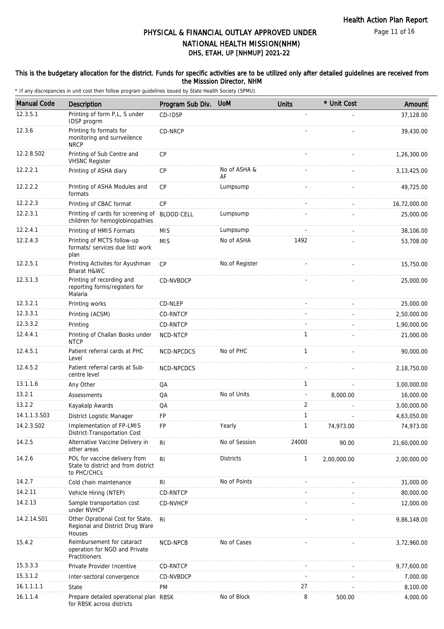Page 11 of 16

## DHS, ETAH, UP [NHMUP] 2021-22 PHYSICAL & FINANCIAL OUTLAY APPROVED UNDER NATIONAL HEALTH MISSION(NHM)

#### This is the budgetary allocation for the district. Funds for specific activities are to be utilized only after detailed guidelines are received from the Misssion Director, NHM

| <b>Manual Code</b> | Description                                                                         | Program Sub Div.  | <b>UoM</b>         | <b>Units</b>             | * Unit Cost | Amount        |
|--------------------|-------------------------------------------------------------------------------------|-------------------|--------------------|--------------------------|-------------|---------------|
| 12.3.5.1           | Printing of form P,L, S under<br>IDSP progrm                                        | CD-IDSP           |                    |                          |             | 37,128.00     |
| 12.3.6             | Printing fo formats for<br>monitoring and surrveilence<br><b>NRCP</b>               | CD-NRCP           |                    |                          |             | 39,430.00     |
| 12.2.8.S02         | Printing of Sub Centre and<br><b>VHSNC Register</b>                                 | <b>CP</b>         |                    |                          |             | 1,26,300.00   |
| 12.2.2.1           | Printing of ASHA diary                                                              | CP                | No of ASHA &<br>AF |                          |             | 3, 13, 425.00 |
| 12.2.2.2           | Printing of ASHA Modules and<br>formats                                             | CP                | Lumpsump           |                          |             | 49,725.00     |
| 12.2.2.3           | Printing of CBAC format                                                             | <b>CP</b>         |                    |                          |             | 16,72,000.00  |
| 12.2.3.1           | Printing of cards for screening of<br>children for hemoglobinopathies               | <b>BLOOD CELL</b> | Lumpsump           |                          |             | 25,000.00     |
| 12.2.4.1           | Printing of HMIS Formats                                                            | MIS               | Lumpsump           |                          |             | 38,106.00     |
| 12.2.4.3           | Printing of MCTS follow-up<br>formats/ services due list/ work<br>plan              | <b>MIS</b>        | No of ASHA         | 1492                     |             | 53,708.00     |
| 12.2.5.1           | Printing Activites for Ayushman<br>Bharat H&WC                                      | <b>CP</b>         | No.of Register     |                          |             | 15,750.00     |
| 12.3.1.3           | Printing of recording and<br>reporting forms/registers for<br>Malaria               | CD-NVBDCP         |                    |                          |             | 25,000.00     |
| 12.3.2.1           | Printing works                                                                      | CD-NLEP           |                    |                          |             | 25,000.00     |
| 12.3.3.1           | Printing (ACSM)                                                                     | <b>CD-RNTCP</b>   |                    |                          |             | 2,50,000.00   |
| 12.3.3.2           | Printing                                                                            | CD-RNTCP          |                    |                          |             | 1,90,000.00   |
| 12.4.4.1           | Printing of Challan Books under<br><b>NTCP</b>                                      | NCD-NTCP          |                    | 1                        |             | 21,000.00     |
| 12.4.5.1           | Patient referral cards at PHC<br>Level                                              | NCD-NPCDCS        | No of PHC          | 1                        |             | 90,000.00     |
| 12.4.5.2           | Patient referral cards at Sub-<br>centre level                                      | NCD-NPCDCS        |                    |                          |             | 2,18,750.00   |
| 13.1.1.6           | Any Other                                                                           | QA                |                    | 1                        |             | 3,00,000.00   |
| 13.2.1             | Assessments                                                                         | QA                | No of Units        | $\overline{\phantom{a}}$ | 8,000.00    | 16,000.00     |
| 13.2.2             | Kayakalp Awards                                                                     | QA                |                    | 2                        |             | 3,00,000.00   |
| 14.1.1.3.S03       | District Logistic Manager                                                           | <b>FP</b>         |                    | 1                        |             | 4,63,050.00   |
| 14.2.3.S02         | Implementation of FP-LMIS<br>District-Transportation Cost                           | <b>FP</b>         | Yearly             | $\mathbf{1}$             | 74,973.00   | 74,973.00     |
| 14.2.5             | Alternative Vaccine Delivery in<br>other areas                                      | RI                | No of Session      | 24000                    | 90.00       | 21,60,000.00  |
| 14.2.6             | POL for vaccine delivery from<br>State to district and from district<br>to PHC/CHCs | R <sub>l</sub>    | <b>Districts</b>   | 1                        | 2,00,000.00 | 2,00,000.00   |
| 14.2.7             | Cold chain maintenance                                                              | RI                | No of Points       |                          |             | 31,000.00     |
| 14.2.11            | Vehicle Hiring (NTEP)                                                               | CD-RNTCP          |                    |                          |             | 80,000.00     |
| 14.2.13            | Sample transportation cost<br>under NVHCP                                           | <b>CD-NVHCP</b>   |                    |                          |             | 12,000.00     |
| 14.2.14.S01        | Other Oprational Cost for State,<br>Regional and District Drug Ware<br>Houses       | -RI               |                    |                          |             | 9,86,148.00   |
| 15.4.2             | Reimbursement for cataract<br>operation for NGO and Private<br>Practitioners        | NCD-NPCB          | No of Cases        |                          |             | 3,72,960.00   |
| 15.3.3.3           | Private Provider Incentive                                                          | <b>CD-RNTCP</b>   |                    |                          |             | 9,77,600.00   |
| 15.3.1.2           | Inter-sectoral convergence                                                          | CD-NVBDCP         |                    |                          |             | 7,000.00      |
| 16.1.1.1.1         | State                                                                               | PM                |                    | 27                       |             | 8,100.00      |
| 16.1.1.4           | Prepare detailed operational plan RBSK<br>for RBSK across districts                 |                   | No of Block        | 8                        | 500.00      | 4,000.00      |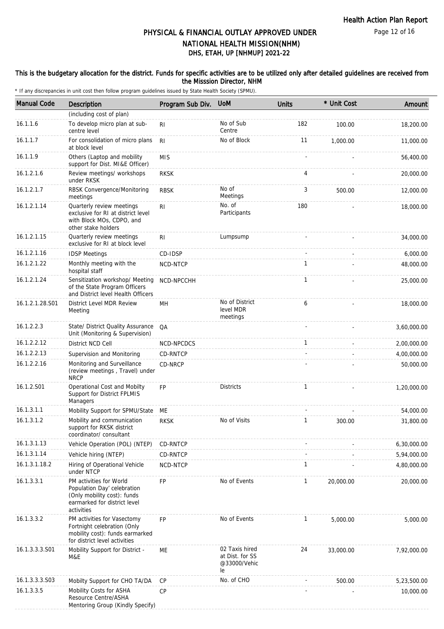### This is the budgetary allocation for the district. Funds for specific activities are to be utilized only after detailed guidelines are received from the Misssion Director, NHM

| <b>Manual Code</b> | Description                                                                                                                         | Program Sub Div. | <b>UoM</b>                                              | <b>Units</b> | * Unit Cost | Amount      |
|--------------------|-------------------------------------------------------------------------------------------------------------------------------------|------------------|---------------------------------------------------------|--------------|-------------|-------------|
|                    | (including cost of plan)                                                                                                            |                  |                                                         |              |             |             |
| 16.1.1.6           | To develop micro plan at sub-<br>centre level                                                                                       | R <sub>1</sub>   | No of Sub<br>Centre                                     | 182          | 100.00      | 18,200.00   |
| 16.1.1.7           | For consolidation of micro plans<br>at block level                                                                                  | R <sub>l</sub>   | No of Block                                             | 11           | 1,000.00    | 11,000.00   |
| 16.1.1.9           | Others (Laptop and mobility<br>support for Dist. MI&E Officer)                                                                      | <b>MIS</b>       |                                                         |              |             | 56,400.00   |
| 16.1.2.1.6         | Review meetings/ workshops<br>under RKSK                                                                                            | <b>RKSK</b>      |                                                         | 4            |             | 20,000.00   |
| 16.1.2.1.7         | RBSK Convergence/Monitoring<br>meetings                                                                                             | <b>RBSK</b>      | No of<br>Meetings                                       | 3            | 500.00      | 12,000.00   |
| 16.1.2.1.14        | Quarterly review meetings<br>exclusive for RI at district level<br>with Block MOs, CDPO, and<br>other stake holders                 | RI               | No. of<br>Participants                                  | 180          |             | 18,000.00   |
| 16.1.2.1.15        | Quarterly review meetings<br>exclusive for RI at block level                                                                        | <b>RI</b>        | Lumpsump                                                |              |             | 34,000.00   |
| 16.1.2.1.16        | <b>IDSP Meetings</b>                                                                                                                | CD-IDSP          |                                                         |              |             | 6,000.00    |
| 16.1.2.1.22        | Monthly meeting with the<br>hospital staff                                                                                          | NCD-NTCP         |                                                         | 1            |             | 48,000.00   |
| 16.1.2.1.24        | Sensitization workshop/ Meeting<br>of the State Program Officers<br>and District level Health Officers                              | NCD-NPCCHH       |                                                         | $\mathbf{1}$ |             | 25,000.00   |
| 16.1.2.1.28.S01    | District Level MDR Review<br>Meeting                                                                                                | MH               | No of District<br>level MDR<br>meetings                 | 6            |             | 18,000.00   |
| 16.1.2.2.3         | State/ District Quality Assurance<br>Unit (Monitoring & Supervision)                                                                | QA               |                                                         |              |             | 3,60,000.00 |
| 16.1.2.2.12        | District NCD Cell                                                                                                                   | NCD-NPCDCS       |                                                         | $\mathbf{1}$ |             | 2,00,000.00 |
| 16.1.2.2.13        | Supervision and Monitoring                                                                                                          | CD-RNTCP         |                                                         |              |             | 4,00,000.00 |
| 16.1.2.2.16        | Monitoring and Surveillance<br>(review meetings, Travel) under<br><b>NRCP</b>                                                       | CD-NRCP          |                                                         |              |             | 50,000.00   |
| 16.1.2.S01         | Operational Cost and Mobilty<br>Support for District FPLMIS<br>Managers                                                             | <b>FP</b>        | <b>Districts</b>                                        | 1            |             | 1,20,000.00 |
| 16.1.3.1.1         | Mobility Support for SPMU/State                                                                                                     | ME               |                                                         |              |             | 54,000.00   |
| 16.1.3.1.2         | Mobility and communication<br>support for RKSK district<br>coordinator/consultant                                                   | <b>RKSK</b>      | No of Visits                                            | 1            | 300.00      | 31,800.00   |
| 16.1.3.1.13        | Vehicle Operation (POL) (NTEP)                                                                                                      | CD-RNTCP         |                                                         |              |             | 6,30,000.00 |
| 16.1.3.1.14        | Vehicle hiring (NTEP)                                                                                                               | CD-RNTCP         |                                                         |              |             | 5,94,000.00 |
| 16.1.3.1.18.2      | Hiring of Operational Vehicle<br>under NTCP                                                                                         | NCD-NTCP         |                                                         | $\mathbf{1}$ |             | 4,80,000.00 |
| 16.1.3.3.1         | PM activities for World<br>Population Day' celebration<br>(Only mobility cost): funds<br>earmarked for district level<br>activities | FP               | No of Events                                            | $\mathbf{1}$ | 20,000.00   | 20,000.00   |
| 16.1.3.3.2         | PM activities for Vasectomy<br>Fortnight celebration (Only<br>mobility cost): funds earmarked<br>for district level activities      | <b>FP</b>        | No of Events                                            | $\mathbf{1}$ | 5,000.00    | 5,000.00    |
| 16.1.3.3.3.S01     | Mobility Support for District -<br>M&E                                                                                              | ME               | 02 Taxis hired<br>at Dist. for SS<br>@33000/Vehic<br>le | 24           | 33,000.00   | 7,92,000.00 |
| 16.1.3.3.3.S03     | Mobilty Support for CHO TA/DA                                                                                                       | CP               | No. of CHO                                              |              | 500.00      | 5,23,500.00 |
| 16.1.3.3.5         | Mobility Costs for ASHA<br>Resource Centre/ASHA<br>Mentoring Group (Kindly Specify)                                                 | <b>CP</b>        |                                                         |              |             | 10,000.00   |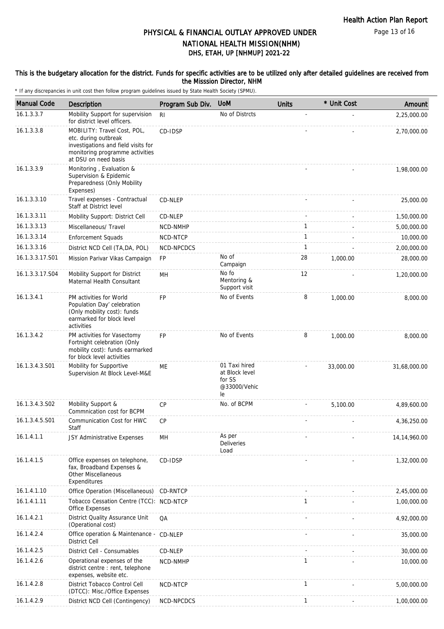# PHYSICAL & FINANCIAL OUTLAY APPROVED UNDER NATIONAL HEALTH MISSION(NHM)

# DHS, ETAH, UP [NHMUP] 2021-22

#### This is the budgetary allocation for the district. Funds for specific activities are to be utilized only after detailed guidelines are received from the Misssion Director, NHM

| <b>Manual Code</b> | Description                                                                                                                                           | Program Sub Div. | <b>UoM</b>                                                      | <b>Units</b> | * Unit Cost | Amount         |
|--------------------|-------------------------------------------------------------------------------------------------------------------------------------------------------|------------------|-----------------------------------------------------------------|--------------|-------------|----------------|
| 16.1.3.3.7         | Mobility Support for supervision<br>for district level officers.                                                                                      | R <sub>l</sub>   | No of Distrcts                                                  |              |             | 2,25,000.00    |
| 16.1.3.3.8         | MOBILITY: Travel Cost, POL,<br>etc. during outbreak<br>investigations and field visits for<br>monitoring programme activities<br>at DSU on need basis | CD-IDSP          |                                                                 |              |             | 2,70,000.00    |
| 16.1.3.3.9         | Monitoring, Evaluation &<br>Supervision & Epidemic<br>Preparedness (Only Mobility<br>Expenses)                                                        |                  |                                                                 |              |             | 1,98,000.00    |
| 16.1.3.3.10        | Travel expenses - Contractual<br>Staff at District level                                                                                              | CD-NLEP          |                                                                 |              |             | 25,000.00      |
| 16.1.3.3.11        | Mobility Support: District Cell                                                                                                                       | CD-NLEP          |                                                                 |              |             | 1,50,000.00    |
| 16.1.3.3.13        | Miscellaneous/ Travel                                                                                                                                 | NCD-NMHP         |                                                                 | $\mathbf{1}$ |             | 5,00,000.00    |
| 16.1.3.3.14        | <b>Enforcement Squads</b>                                                                                                                             | NCD-NTCP         |                                                                 | $\mathbf{1}$ |             | 10,000.00      |
| 16.1.3.3.16        | District NCD Cell (TA, DA, POL)                                                                                                                       | NCD-NPCDCS       |                                                                 | $\mathbf{1}$ |             | 2,00,000.00    |
| 16.1.3.3.17.S01    | Mission Parivar Vikas Campaign                                                                                                                        | <b>FP</b>        | No of<br>Campaign                                               | 28           | 1,000.00    | 28,000.00      |
| 16.1.3.3.17.S04    | Mobility Support for District<br>Maternal Health Consultant                                                                                           | MН               | No fo<br>Mentoring &<br>Support visit                           | 12           |             | 1,20,000.00    |
| 16.1.3.4.1         | PM activities for World<br>Population Day' celebration<br>(Only mobility cost): funds<br>earmarked for block level<br>activities                      | <b>FP</b>        | No of Events                                                    | 8            | 1.000.00    | 8,000.00       |
| 16.1.3.4.2         | PM activities for Vasectomy<br>Fortnight celebration (Only<br>mobility cost): funds earmarked<br>for block level activities                           | <b>FP</b>        | No of Events                                                    | 8            | 1,000.00    | 8,000.00       |
| 16.1.3.4.3.S01     | Mobility for Supportive<br>Supervision At Block Level-M&E                                                                                             | МE               | 01 Taxi hired<br>at Block level<br>for SS<br>@33000/Vehic<br>le |              | 33,000.00   | 31,68,000.00   |
| 16.1.3.4.3.S02     | Mobility Support &<br>Commnication cost for BCPM                                                                                                      | <b>CP</b>        | No. of BCPM                                                     |              | 5,100.00    | 4,89,600.00    |
| 16.1.3.4.5.S01     | Communication Cost for HWC<br>Staff                                                                                                                   | <b>CP</b>        |                                                                 |              |             | 4,36,250.00    |
| 16.1.4.1.1         | JSY Administrative Expenses                                                                                                                           | MН               | As per<br><b>Deliveries</b><br>Load                             |              |             | 14, 14, 960.00 |
| 16.1.4.1.5         | Office expenses on telephone,<br>fax, Broadband Expenses &<br><b>Other Miscellaneous</b><br>Expenditures                                              | CD-IDSP          |                                                                 |              |             | 1,32,000.00    |
| 16.1.4.1.10        | Office Operation (Miscellaneous)                                                                                                                      | CD-RNTCP         |                                                                 |              |             | 2,45,000.00    |
| 16.1.4.1.11        | Tobacco Cessation Centre (TCC): NCD-NTCP<br>Office Expenses                                                                                           |                  |                                                                 | 1            |             | 1,00,000.00    |
| 16.1.4.2.1         | District Quality Assurance Unit<br>(Operational cost)                                                                                                 | QA               |                                                                 |              |             | 4,92,000.00    |
| 16.1.4.2.4         | Office operation & Maintenance - CD-NLEP<br><b>District Cell</b>                                                                                      |                  |                                                                 |              |             | 35,000.00      |
| 16.1.4.2.5         | District Cell - Consumables                                                                                                                           | CD-NLEP          |                                                                 |              |             | 30,000.00      |
| 16.1.4.2.6         | Operational expenses of the<br>district centre : rent, telephone<br>expenses, website etc.                                                            | NCD-NMHP         |                                                                 | 1            |             | 10,000.00      |
| 16.1.4.2.8         | District Tobacco Control Cell<br>(DTCC): Misc./Office Expenses                                                                                        | NCD-NTCP         |                                                                 | 1            |             | 5,00,000.00    |
| 16.1.4.2.9         | District NCD Cell (Contingency)                                                                                                                       | NCD-NPCDCS       |                                                                 | 1            |             | 1,00,000.00    |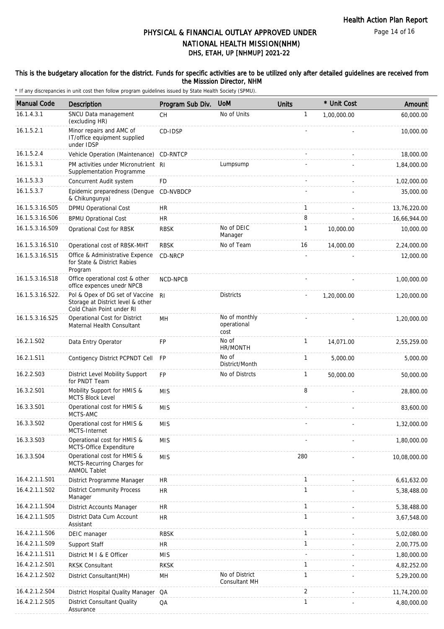#### This is the budgetary allocation for the district. Funds for specific activities are to be utilized only after detailed guidelines are received from the Misssion Director, NHM

| <b>Manual Code</b> | Description                                                                                       | Program Sub Div. | <b>UoM</b>                           | <b>Units</b> | * Unit Cost | Amount       |
|--------------------|---------------------------------------------------------------------------------------------------|------------------|--------------------------------------|--------------|-------------|--------------|
| 16.1.4.3.1         | SNCU Data management<br>(excluding HR)                                                            | <b>CH</b>        | No of Units                          | $\mathbf{1}$ | 1.00.000.00 | 60,000.00    |
| 16.1.5.2.1         | Minor repairs and AMC of<br>IT/office equipment supplied<br>under IDSP                            | CD-IDSP          |                                      |              |             | 10,000.00    |
| 16.1.5.2.4         | Vehicle Operation (Maintenance)                                                                   | CD-RNTCP         |                                      |              |             | 18,000.00    |
| 16.1.5.3.1         | PM activities under Micronutrient RI<br>Supplementation Programme                                 |                  | Lumpsump                             |              |             | 1,84,000.00  |
| 16.1.5.3.3         | Concurrent Audit system                                                                           | <b>FD</b>        |                                      |              |             | 1,02,000.00  |
| 16.1.5.3.7         | Epidemic preparedness (Dengue<br>& Chikungunya)                                                   | CD-NVBDCP        |                                      |              |             | 35,000.00    |
| 16.1.5.3.16.S05    | DPMU Operational Cost                                                                             | HR.              |                                      | $\mathbf{1}$ |             | 13,76,220.00 |
| 16.1.5.3.16.S06    | <b>BPMU Oprational Cost</b>                                                                       | <b>HR</b>        |                                      | 8            |             | 16,66,944.00 |
| 16.1.5.3.16.S09    | Oprational Cost for RBSK                                                                          | <b>RBSK</b>      | No of DEIC<br>Manager                | $\mathbf{1}$ | 10,000.00   | 10,000.00    |
| 16.1.5.3.16.S10    | Operational cost of RBSK-MHT                                                                      | <b>RBSK</b>      | No of Team                           | 16           | 14,000.00   | 2,24,000.00  |
| 16.1.5.3.16.S15    | Office & Administrative Expence<br>for State & District Rabies<br>Program                         | CD-NRCP          |                                      |              |             | 12,000.00    |
| 16.1.5.3.16.S18    | Office operational cost & other<br>office expences unedr NPCB                                     | NCD-NPCB         |                                      |              |             | 1,00,000.00  |
| 16.1.5.3.16.S22.   | Pol & Opex of DG set of Vaccine<br>Storage at District level & other<br>Cold Chain Point under RI | R <sub>l</sub>   | <b>Districts</b>                     |              | 1,20,000.00 | 1,20,000.00  |
| 16.1.5.3.16.S25    | Operational Cost for District<br>Maternal Health Consultant                                       | MН               | No of monthly<br>operational<br>cost |              |             | 1,20,000.00  |
| 16.2.1.S02         | Data Entry Operator                                                                               | <b>FP</b>        | No of<br>HR/MONTH                    | $\mathbf{1}$ | 14,071.00   | 2,55,259.00  |
| 16.2.1.S11         | Contigency District PCPNDT Cell                                                                   | <b>FP</b>        | No of<br>District/Month              | 1            | 5,000.00    | 5,000.00     |
| 16.2.2.S03         | District Level Mobility Support<br>for PNDT Team                                                  | <b>FP</b>        | No of Distrcts                       | $\mathbf{1}$ | 50,000.00   | 50,000.00    |
| 16.3.2.S01         | Mobility Support for HMIS &<br><b>MCTS Block Level</b>                                            | <b>MIS</b>       |                                      | 8            |             | 28,800.00    |
| 16.3.3.S01         | Operational cost for HMIS &<br>MCTS-AMC                                                           | <b>MIS</b>       |                                      |              |             | 83,600.00    |
| 16.3.3.S02         | Operational cost for HMIS &<br>MCTS-Internet                                                      | <b>MIS</b>       |                                      |              |             | 1,32,000.00  |
| 16.3.3.S03         | Operational cost for HMIS &<br>MCTS-Office Expenditure                                            | <b>MIS</b>       |                                      |              |             | 1,80,000.00  |
| 16.3.3.S04         | Operational cost for HMIS &<br>MCTS-Recurring Charges for<br><b>ANMOL Tablet</b>                  | <b>MIS</b>       |                                      | 280          |             | 10,08,000.00 |
| 16.4.2.1.1.S01     | District Programme Manager                                                                        | <b>HR</b>        |                                      | 1            |             | 6,61,632.00  |
| 16.4.2.1.1.S02     | <b>District Community Process</b><br>Manager                                                      | <b>HR</b>        |                                      | $\mathbf{1}$ |             | 5,38,488.00  |
| 16.4.2.1.1.S04     | District Accounts Manager                                                                         | <b>HR</b>        |                                      | 1            |             | 5,38,488.00  |
| 16.4.2.1.1.S05     | District Data Cum Account<br>Assistant                                                            | <b>HR</b>        |                                      | $\mathbf{1}$ |             | 3,67,548.00  |
| 16.4.2.1.1.S06     | DEIC manager                                                                                      | <b>RBSK</b>      |                                      | 1            |             | 5,02,080.00  |
| 16.4.2.1.1.S09     | Support Staff                                                                                     | <b>HR</b>        |                                      | $\mathbf{1}$ |             | 2,00,775.00  |
| 16.4.2.1.1.S11     | District M I & E Officer                                                                          | <b>MIS</b>       |                                      |              |             | 1,80,000.00  |
| 16.4.2.1.2.S01     | <b>RKSK Consultant</b>                                                                            | <b>RKSK</b>      |                                      | 1            |             | 4,82,252.00  |
| 16.4.2.1.2.S02     | District Consultant (MH)                                                                          | MH               | No of District<br>Consultant MH      | 1            |             | 5,29,200.00  |
| 16.4.2.1.2.S04     | District Hospital Quality Manager                                                                 | QA               |                                      | 2            |             | 11,74,200.00 |
| 16.4.2.1.2.S05     | <b>District Consultant Quality</b><br>Assurance                                                   | QA               |                                      | $\mathbf{1}$ |             | 4,80,000.00  |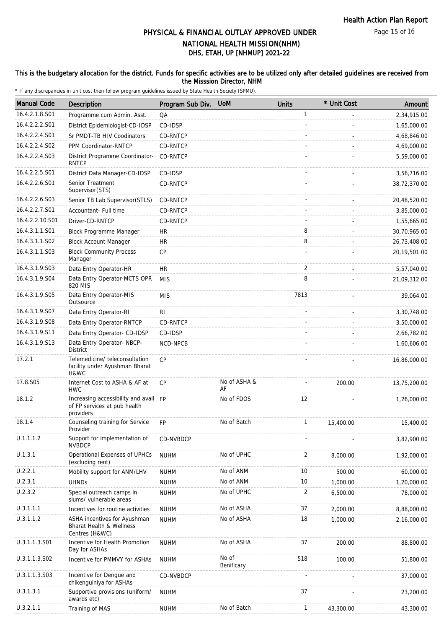#### This is the budgetary allocation for the district. Funds for specific activities are to be utilized only after detailed guidelines are received from the Misssion Director, NHM

| <b>Manual Code</b> | Description                                                                           | Program Sub Div. | <b>UoM</b>          | <b>Units</b> | * Unit Cost | Amount       |
|--------------------|---------------------------------------------------------------------------------------|------------------|---------------------|--------------|-------------|--------------|
| 16.4.2.1.8.S01     | Programme cum Admin. Asst.                                                            | QA               |                     | $\mathbf{1}$ |             | 2,34,915.00  |
| 16.4.2.2.2.S01     | District Epidemiologist-CD-IDSP                                                       | CD-IDSP          |                     |              |             | 1,65,000.00  |
| 16.4.2.2.4.S01     | Sr PMDT-TB HIV Coodinators                                                            | CD-RNTCP         |                     |              |             | 4,68,846.00  |
| 16.4.2.2.4.S02     | PPM Coordinator-RNTCP                                                                 | CD-RNTCP         |                     |              |             | 4,69,000.00  |
| 16.4.2.2.4.S03     | District Programme Coordinator-<br><b>RNTCP</b>                                       | CD-RNTCP         |                     |              |             | 5,59,000.00  |
| 16.4.2.2.5.S01     | District Data Manager-CD-IDSP                                                         | CD-IDSP          |                     |              |             | 3,56,716.00  |
| 16.4.2.2.6.S01     | Senior Treatment<br>Supervisor(STS)                                                   | CD-RNTCP         |                     |              |             | 38,72,370.00 |
| 16.4.2.2.6.S03     | Senior TB Lab Supervisor (STLS)                                                       | CD-RNTCP         |                     |              |             | 20,48,520.00 |
| 16.4.2.2.7.S01     | Accountant- Full time                                                                 | CD-RNTCP         |                     |              |             | 3,85,000.00  |
| 16.4.2.2.10.S01    | Driver-CD-RNTCP                                                                       | CD-RNTCP         |                     |              |             | 1,55,665.00  |
| 16.4.3.1.1.S01     | Block Programme Manager                                                               | <b>HR</b>        |                     | 8            |             | 30,70,965.00 |
| 16.4.3.1.1.S02     | <b>Block Account Manager</b>                                                          | HR               |                     | 8            |             | 26,73,408.00 |
| 16.4.3.1.1.S03     | <b>Block Community Process</b><br>Manager                                             | <b>CP</b>        |                     |              |             | 20,19,501.00 |
| 16.4.3.1.9.S03     | Data Entry Operator-HR                                                                | HR               |                     | 2            |             | 5,57,040.00  |
| 16.4.3.1.9.S04     | Data Entry Operator-MCTS OPR<br>820 MIS                                               | <b>MIS</b>       |                     | 8            |             | 21,09,312.00 |
| 16.4.3.1.9.S05     | Data Entry Operator-MIS<br>Outsource                                                  | <b>MIS</b>       |                     | 7813         |             | 39,064.00    |
| 16.4.3.1.9.S07     | Data Entry Operator-RI                                                                | R <sub>l</sub>   |                     |              |             | 3,30,748.00  |
| 16.4.3.1.9.S08     | Data Entry Operator-RNTCP                                                             | CD-RNTCP         |                     |              |             | 3,50,000.00  |
| 16.4.3.1.9.S11     | Data Entry Operator- CD-IDSP                                                          | CD-IDSP          |                     |              |             | 2,66,782.00  |
| 16.4.3.1.9.S13     | Data Entry Operator- NBCP-<br><b>District</b>                                         | NCD-NPCB         |                     |              |             | 1,60,606.00  |
| 17.2.1             | Telemedicine/ teleconsultation<br>facility under Ayushman Bharat<br>H&WC              | <b>CP</b>        |                     |              |             | 16,86,000.00 |
| 17.8.S05           | Internet Cost to ASHA & AF at<br><b>HWC</b>                                           | CP               | No of ASHA &<br>AF  |              | 200.00      | 13,75,200.00 |
| 18.1.2             | Increasing accessibility and avail FP<br>of FP services at pub health<br>providers    |                  | No of FDOS          | 12           |             | 1,26,000.00  |
| 18.1.4             | Counseling training for Service<br>Provider                                           | <b>FP</b>        | No of Batch         | 1            | 15,400.00   | 15,400.00    |
| U.1.1.1.2          | Support for implementation of<br><b>NVBDCP</b>                                        | CD-NVBDCP        |                     |              |             | 3,82,900.00  |
| U.1.3.1            | Operational Expenses of UPHCs<br>(excluding rent)                                     | <b>NUHM</b>      | No of UPHC          | 2            | 8,000.00    | 1,92,000.00  |
| U.2.2.1            | Mobility support for ANM/LHV                                                          | <b>NUHM</b>      | No of ANM           | 10           | 500.00      | 60,000.00    |
| U.2.3.1            | <b>UHNDs</b>                                                                          | <b>NUHM</b>      | No of ANM           | 10           | 1,000.00    | 1,20,000.00  |
| U.2.3.2            | Special outreach camps in<br>slums/ vulnerable areas                                  | <b>NUHM</b>      | No of UPHC          | 2            | 6,500.00    | 78,000.00    |
| U.3.1.1.1          | Incentives for routine activities                                                     | <b>NUHM</b>      | No of ASHA          | 37           | 2,000.00    | 8,88,000.00  |
| U.3.1.1.2          | ASHA incentives for Ayushman<br><b>Bharat Health &amp; Wellness</b><br>Centres (H&WC) | <b>NUHM</b>      | No of ASHA          | 18           | 1,000.00    | 2,16,000.00  |
| U.3.1.1.3.S01      | Incentive for Health Promotion<br>Day for ASHAs                                       | <b>NUHM</b>      | No of ASHA          | 37           | 200.00      | 88,800.00    |
| U.3.1.1.3.S02      | Incentive for PMMVY for ASHAs                                                         | <b>NUHM</b>      | No of<br>Benificary | 518          | 100.00      | 51,800.00    |
| U.3.1.1.3.S03      | Incentive for Dengue and<br>chikenguiniya for ASHAs                                   | CD-NVBDCP        |                     |              |             | 37,000.00    |
| U.3.1.3.1          | Supportive provisions (uniform/<br>awards etc)                                        | <b>NUHM</b>      |                     | 37           |             | 23,200.00    |
| U.3.2.1.1          | Training of MAS                                                                       | <b>NUHM</b>      | No of Batch         | 1            | 43,300.00   | 43,300.00    |